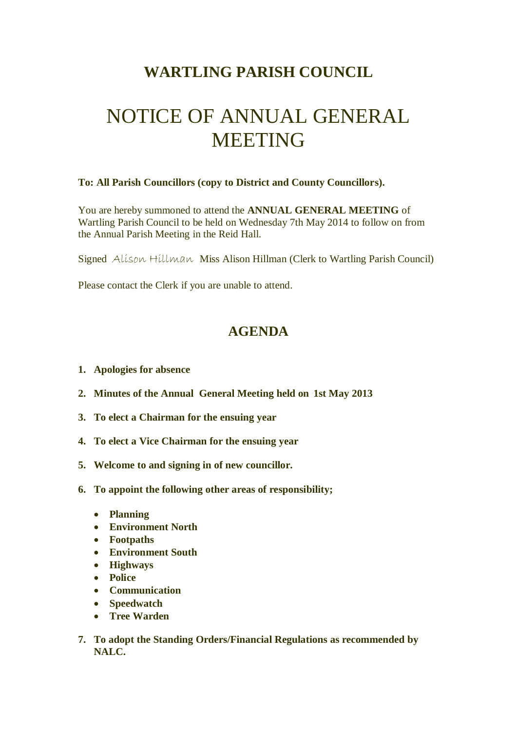## **WARTLING PARISH COUNCIL**

## NOTICE OF ANNUAL GENERAL **MEETING**

## **To: All Parish Councillors (copy to District and County Councillors).**

You are hereby summoned to attend the **ANNUAL GENERAL MEETING** of Wartling Parish Council to be held on Wednesday 7th May 2014 to follow on from the Annual Parish Meeting in the Reid Hall.

Signed Alison Hillman Miss Alison Hillman (Clerk to Wartling Parish Council)

Please contact the Clerk if you are unable to attend.

## **AGENDA**

- **1. Apologies for absence**
- **2. Minutes of the Annual General Meeting held on 1st May 2013**
- **3. To elect a Chairman for the ensuing year**
- **4. To elect a Vice Chairman for the ensuing year**
- **5. Welcome to and signing in of new councillor.**
- **6. To appoint the following other areas of responsibility;**
	- **Planning**
	- **Environment North**
	- **Footpaths**
	- **Environment South**
	- **Highways**
	- **Police**
	- **Communication**
	- **Speedwatch**
	- **Tree Warden**
- **7. To adopt the Standing Orders/Financial Regulations as recommended by NALC.**